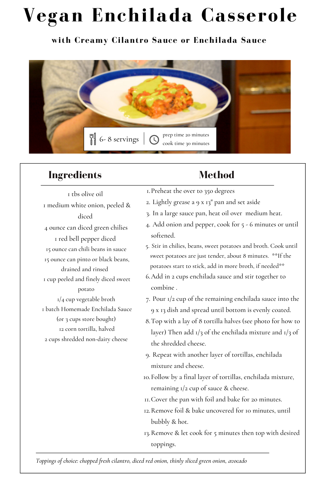# **Vegan Enchilada Casserole**

#### **with Creamy Cilantro Sauce or Enchilada Sauce**



## **Ingredients**

 tbs olive oil medium white onion, peeled & diced ounce can diced green chilies red bell pepper diced ounce can chili beans in sauce ounce can pinto or black beans, drained and rinsed cup peeled and finely diced sweet potato  $1/4$  cup vegetable broth batch Homemade Enchilada Sauce (or 3 cups store bought) corn tortilla, halved cups shredded non-dairy cheese

## **Method**

- Preheat the over to 35o degrees 1.
- 2. Lightly grease a 9 x 13" pan and set aside
- 3. In a large sauce pan, heat oil over medium heat.
- 4. Add onion and pepper, cook for 5 6 minutes or until softened.
- Stir in chilies, beans, sweet potatoes and broth. Cook until 5. sweet potatoes are just tender, about 8 minutes. \*\*If the potatoes start to stick, add in more broth, if needed\*\*
- Add in 2 cups enchilada sauce and stir together to 6. combine .
- 7. Pour  $1/2$  cup of the remaining enchilada sauce into the 9 x 13 dish and spread until bottom is evenly coated.
- Top with a lay of 8 tortilla halves (see photo for how to 8. layer) Then add  $1/3$  of the enchilada mixture and  $1/3$  of the shredded cheese.
- 9. Repeat with another layer of tortillas, enchilada mixture and cheese.
- Follow by a final layer of tortillas, enchilada mixture, 10. remaining 1/2 cup of sauce & cheese.
- Cover the pan with foil and bake for 2o minutes. 11.
- 12.Remove foil & bake uncovered for 10 minutes, until bubbly & hot.
- 13. Remove & let cook for 5 minutes then top with desired toppings.

*Toppings of choice: chopped fresh cilantro, diced red onion, thinly sliced green onion, avocado*